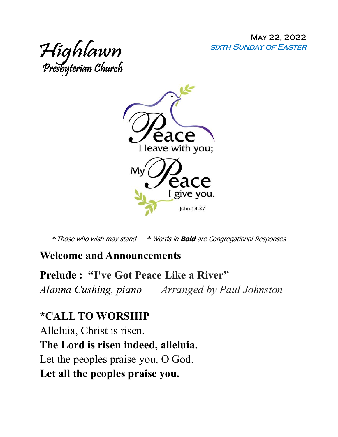May 22, 2022 sixth Sunday of Easter





**\***Those who wish may stand **\*** Words in **Bold** are Congregational Responses

#### **Welcome and Announcements**

**Prelude : "I've Got Peace Like a River"**  *Alanna Cushing, piano Arranged by Paul Johnston*

### **\*CALL TO WORSHIP**

Alleluia, Christ is risen. **The Lord is risen indeed, alleluia.**  Let the peoples praise you, O God. **Let all the peoples praise you.**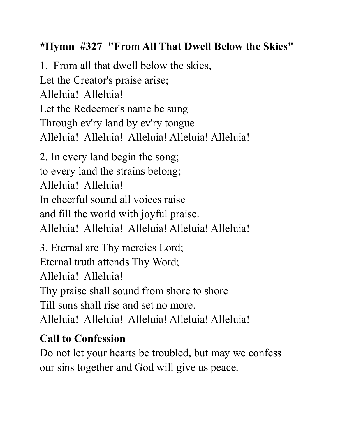# **\*Hymn #327 "From All That Dwell Below the Skies"**

1. From all that dwell below the skies, Let the Creator's praise arise; Alleluia! Alleluia! Let the Redeemer's name be sung Through ev'ry land by ev'ry tongue. Alleluia! Alleluia! Alleluia! Alleluia! Alleluia! 2. In every land begin the song; to every land the strains belong; Alleluia! Alleluia! In cheerful sound all voices raise and fill the world with joyful praise. Alleluia! Alleluia! Alleluia! Alleluia! Alleluia! 3. Eternal are Thy mercies Lord; Eternal truth attends Thy Word; Alleluia! Alleluia! Thy praise shall sound from shore to shore Till suns shall rise and set no more. Alleluia! Alleluia! Alleluia! Alleluia! Alleluia!

# **Call to Confession**

Do not let your hearts be troubled, but may we confess our sins together and God will give us peace.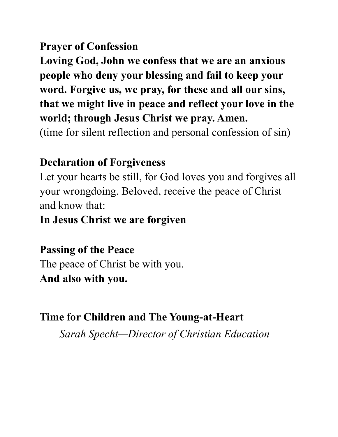## **Prayer of Confession**

**Loving God, John we confess that we are an anxious people who deny your blessing and fail to keep your word. Forgive us, we pray, for these and all our sins, that we might live in peace and reflect your love in the world; through Jesus Christ we pray. Amen.** 

(time for silent reflection and personal confession of sin)

#### **Declaration of Forgiveness**

Let your hearts be still, for God loves you and forgives all your wrongdoing. Beloved, receive the peace of Christ and know that:

**In Jesus Christ we are forgiven**

**Passing of the Peace** 

The peace of Christ be with you. **And also with you.** 

**Time for Children and The Young-at-Heart**

*Sarah Specht—Director of Christian Education*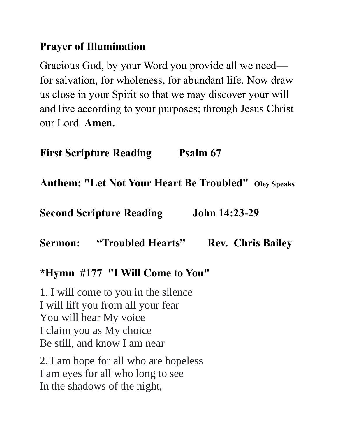## **Prayer of Illumination**

Gracious God, by your Word you provide all we need for salvation, for wholeness, for abundant life. Now draw us close in your Spirit so that we may discover your will and live according to your purposes; through Jesus Christ our Lord. **Amen.**

**First Scripture Reading Psalm 67** 

**Anthem: "Let Not Your Heart Be Troubled" Oley Speaks**

**Second Scripture Reading John 14:23-29** 

**Sermon: "Troubled Hearts" Rev. Chris Bailey** 

#### **\*Hymn #177 "I Will Come to You"**

1. I will come to you in the silence I will lift you from all your fear You will hear My voice I claim you as My choice Be still, and know I am near

2. I am hope for all who are hopeless I am eyes for all who long to see In the shadows of the night,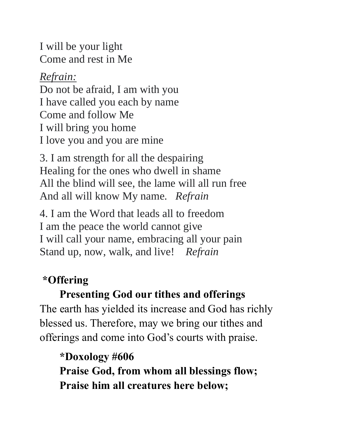I will be your light Come and rest in Me

*Refrain:* 

Do not be afraid, I am with you I have called you each by name Come and follow Me I will bring you home I love you and you are mine

3. I am strength for all the despairing Healing for the ones who dwell in shame All the blind will see, the lame will all run free And all will know My name. *Refrain*

4. I am the Word that leads all to freedom I am the peace the world cannot give I will call your name, embracing all your pain Stand up, now, walk, and live! *Refrain*

# **\*Offering**

# **Presenting God our tithes and offerings**

The earth has yielded its increase and God has richly blessed us. Therefore, may we bring our tithes and offerings and come into God's courts with praise.

**\*Doxology #606 Praise God, from whom all blessings flow; Praise him all creatures here below;**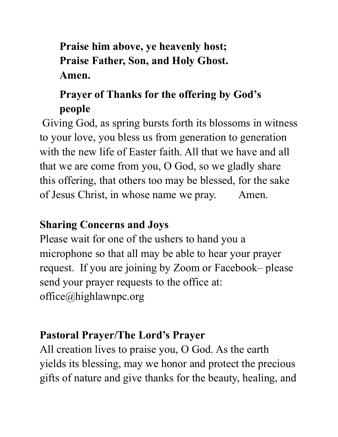# **Praise him above, ye heavenly host; Praise Father, Son, and Holy Ghost. Amen.**

# **Prayer of Thanks for the offering by God's people**

Giving God, as spring bursts forth its blossoms in witness to your love, you bless us from generation to generation with the new life of Easter faith. All that we have and all that we are come from you, O God, so we gladly share this offering, that others too may be blessed, for the sake of Jesus Christ, in whose name we pray. Amen.

# **Sharing Concerns and Joys**

Please wait for one of the ushers to hand you a microphone so that all may be able to hear your prayer request. If you are joining by Zoom or Facebook– please send your prayer requests to the office at: office@highlawnpc.org

# **Pastoral Prayer/The Lord's Prayer**

All creation lives to praise you, O God. As the earth yields its blessing, may we honor and protect the precious gifts of nature and give thanks for the beauty, healing, and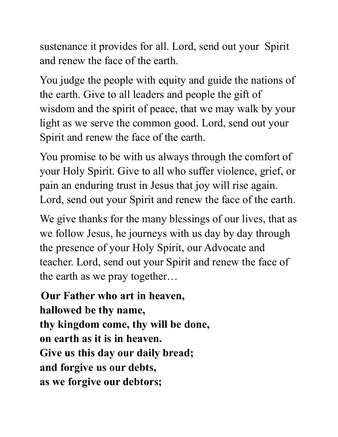sustenance it provides for all. Lord, send out your Spirit and renew the face of the earth.

You judge the people with equity and guide the nations of the earth. Give to all leaders and people the gift of wisdom and the spirit of peace, that we may walk by your light as we serve the common good. Lord, send out your Spirit and renew the face of the earth.

You promise to be with us always through the comfort of your Holy Spirit. Give to all who suffer violence, grief, or pain an enduring trust in Jesus that joy will rise again. Lord, send out your Spirit and renew the face of the earth.

We give thanks for the many blessings of our lives, that as we follow Jesus, he journeys with us day by day through the presence of your Holy Spirit, our Advocate and teacher. Lord, send out your Spirit and renew the face of the earth as we pray together…

**Our Father who art in heaven, hallowed be thy name, thy kingdom come, thy will be done, on earth as it is in heaven. Give us this day our daily bread; and forgive us our debts, as we forgive our debtors;**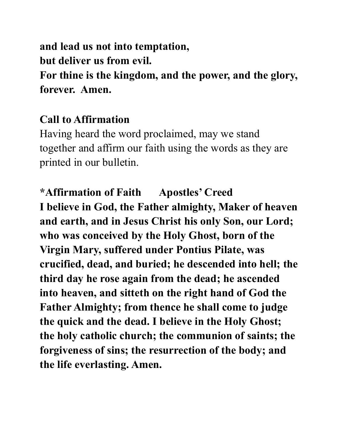**and lead us not into temptation, but deliver us from evil. For thine is the kingdom, and the power, and the glory, forever. Amen.** 

#### **Call to Affirmation**

Having heard the word proclaimed, may we stand together and affirm our faith using the words as they are printed in our bulletin.

**\*Affirmation of Faith Apostles' Creed I believe in God, the Father almighty, Maker of heaven and earth, and in Jesus Christ his only Son, our Lord; who was conceived by the Holy Ghost, born of the Virgin Mary, suffered under Pontius Pilate, was crucified, dead, and buried; he descended into hell; the third day he rose again from the dead; he ascended into heaven, and sitteth on the right hand of God the Father Almighty; from thence he shall come to judge the quick and the dead. I believe in the Holy Ghost; the holy catholic church; the communion of saints; the forgiveness of sins; the resurrection of the body; and the life everlasting. Amen.**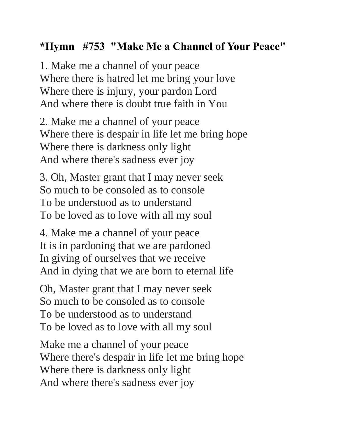# **\*Hymn #753 "Make Me a Channel of Your Peace"**

1. Make me a channel of your peace Where there is hatred let me bring your love Where there is injury, your pardon Lord And where there is doubt true faith in You

2. Make me a channel of your peace Where there is despair in life let me bring hope Where there is darkness only light And where there's sadness ever joy

3. Oh, Master grant that I may never seek So much to be consoled as to console To be understood as to understand To be loved as to love with all my soul

4. Make me a channel of your peace It is in pardoning that we are pardoned In giving of ourselves that we receive And in dying that we are born to eternal life

Oh, Master grant that I may never seek So much to be consoled as to console To be understood as to understand To be loved as to love with all my soul

Make me a channel of your peace Where there's despair in life let me bring hope Where there is darkness only light And where there's sadness ever joy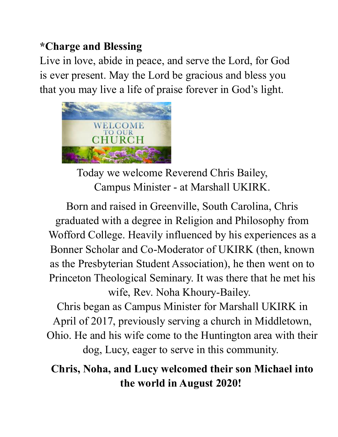# **\*Charge and Blessing**

Live in love, abide in peace, and serve the Lord, for God is ever present. May the Lord be gracious and bless you that you may live a life of praise forever in God's light.



Today we welcome Reverend Chris Bailey, Campus Minister - at Marshall UKIRK.

Born and raised in Greenville, South Carolina, Chris graduated with a degree in Religion and Philosophy from Wofford College. Heavily influenced by his experiences as a Bonner Scholar and Co-Moderator of UKIRK (then, known as the Presbyterian Student Association), he then went on to Princeton Theological Seminary. It was there that he met his wife, Rev. Noha Khoury-Bailey.

Chris began as Campus Minister for Marshall UKIRK in April of 2017, previously serving a church in Middletown, Ohio. He and his wife come to the Huntington area with their dog, Lucy, eager to serve in this community.

# **Chris, Noha, and Lucy welcomed their son Michael into the world in August 2020!**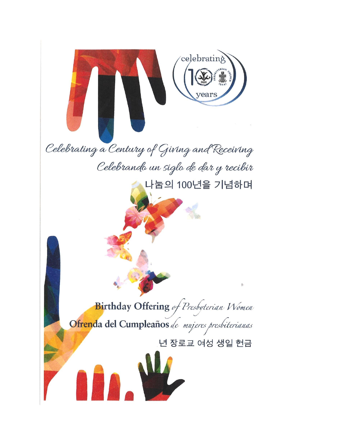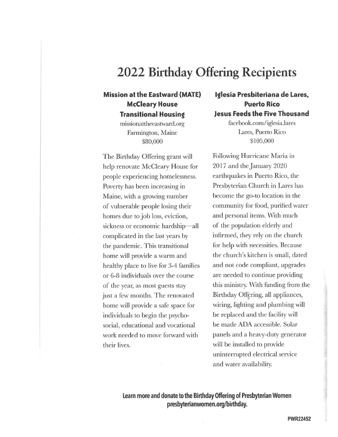# 2022 Birthday Offering Recipients

#### **Mission at the Eastward (MATE) McCleary House Transitional Housing**

missionattheeastward.org Farmington, Maine \$80,000

The Birthday Offering grant will help renovate McCleary House for people experiencing homelessness. Poverty has been increasing in Maine, with a growing number of vulnerable people losing their homes due to job loss, eviction, sickness or economic hardship—all complicated in the last years by the pandemic. This transitional home will provide a warm and healthy place to live for 3-4 families or 6-8 individuals over the course of the year, as most guests stay just a few months. The renovated home will provide a safe space for individuals to begin the psychosocial, educational and vocational work needed to move forward with their lives.

#### Iglesia Presbiteriana de Lares, **Puerto Rico Jesus Feeds the Five Thousand**

facebook.com/iglesia.lares Lares, Puerto Rico \$105,000

Following Hurricane Maria in 2017 and the January 2020 earthquakes in Puerto Rico, the Presbyterian Church in Lares has become the go-to location in the community for food, purified water and personal items. With much of the population elderly and infirmed, they rely on the church for help with necessities. Because the church's kitchen is small, dated and not code compliant, upgrades are needed to continue providing this ministry. With funding from the Birthday Offering, all appliances, wiring, lighting and plumbing will be replaced and the facility will be made ADA accessible. Solar panels and a heavy-duty generator will be installed to provide uninterrupted electrical service and water availability.

Learn more and donate to the Birthday Offering of Presbyterian Women presbyterianwomen.org/birthday.